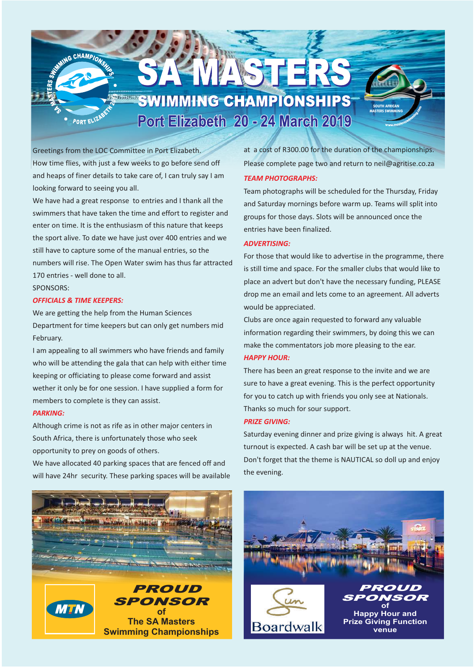# **SWIMMING CHAMPIONSHIPS** Port Elizabeth 20 - 24 March 2019

WASHER

Greetings from the LOC Committee in Port Elizabeth. How time flies, with just a few weeks to go before send off and heaps of finer details to take care of, I can truly say I am looking forward to seeing you all.

We have had a great response to entries and I thank all the swimmers that have taken the time and effort to register and enter on time. It is the enthusiasm of this nature that keeps the sport alive. To date we have just over 400 entries and we still have to capture some of the manual entries, so the numbers will rise. The Open Water swim has thus far attracted 170 entries - well done to all.

### SPONSORS:

#### *OFFICIALS & TIME KEEPERS:*

**MING CHAMPIONS** 

PORT ELIZ

We are getting the help from the Human Sciences Department for time keepers but can only get numbers mid February.

I am appealing to all swimmers who have friends and family who will be attending the gala that can help with either time keeping or officiating to please come forward and assist wether it only be for one session. I have supplied a form for members to complete is they can assist.

#### *PARKING:*

Although crime is not as rife as in other major centers in South Africa, there is unfortunately those who seek opportunity to prey on goods of others.

We have allocated 40 parking spaces that are fenced off and will have 24hr security. These parking spaces will be available at a cost of R300.00 for the duration of the championships. Please complete page two and return to neil@agritise.co.za

**SOUTH AFRICAN MASTERS SWIMMING**

#### *TEAM PHOTOGRAPHS:*

Team photographs will be scheduled for the Thursday, Friday and Saturday mornings before warm up. Teams will split into groups for those days. Slots will be announced once the entries have been finalized.

#### *ADVERTISING:*

For those that would like to advertise in the programme, there is still time and space. For the smaller clubs that would like to place an advert but don't have the necessary funding, PLEASE drop me an email and lets come to an agreement. All adverts would be appreciated.

Clubs are once again requested to forward any valuable information regarding their swimmers, by doing this we can make the commentators job more pleasing to the ear.

#### *HAPPY HOUR:*

There has been an great response to the invite and we are sure to have a great evening. This is the perfect opportunity for you to catch up with friends you only see at Nationals. Thanks so much for sour support.

#### *PRIZE GIVING:*

Saturday evening dinner and prize giving is always hit. A great turnout is expected. A cash bar will be set up at the venue. Don't forget that the theme is NAUTICAL so doll up and enjoy the evening.